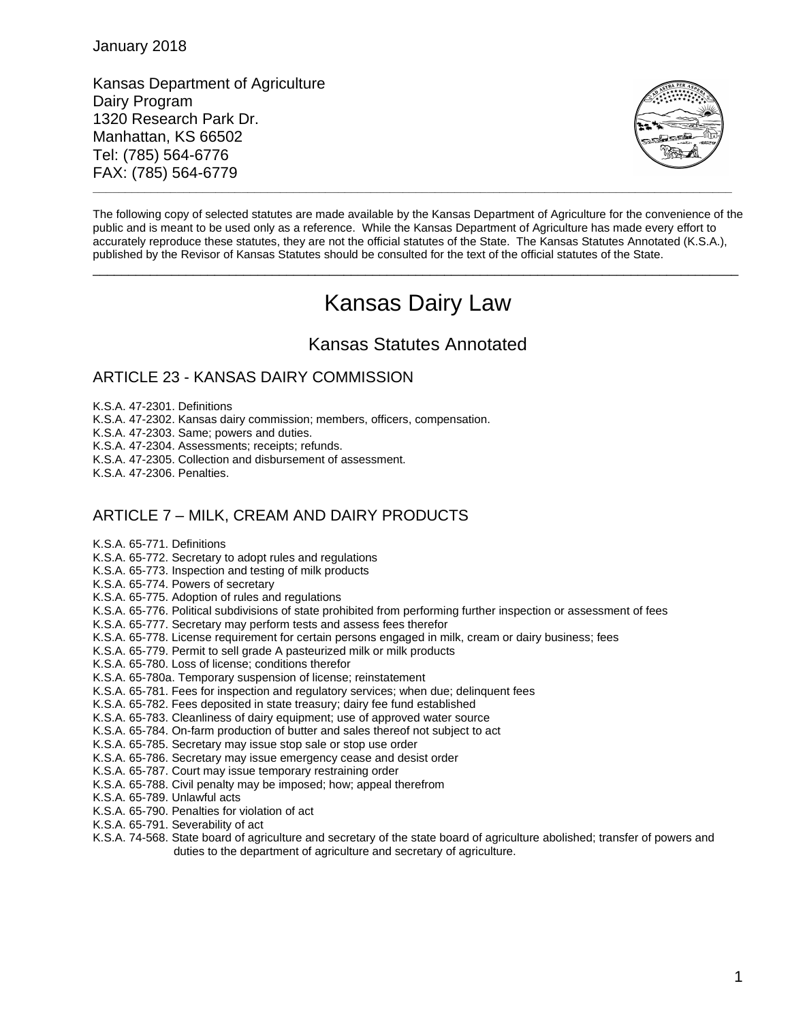January 2018

Kansas Department of Agriculture Dairy Program 1320 Research Park Dr. Manhattan, KS 66502 Tel: (785) 564-6776 FAX: (785) 564-6779



The following copy of selected statutes are made available by the Kansas Department of Agriculture for the convenience of the public and is meant to be used only as a reference. While the Kansas Department of Agriculture has made every effort to accurately reproduce these statutes, they are not the official statutes of the State. The Kansas Statutes Annotated (K.S.A.), published by the Revisor of Kansas Statutes should be consulted for the text of the official statutes of the State.

**\_\_\_\_\_\_\_\_\_\_\_\_\_\_\_\_\_\_\_\_\_\_\_\_\_\_\_\_\_\_\_\_\_\_\_\_\_\_\_\_\_\_\_\_\_\_\_\_\_\_\_\_\_\_\_\_\_\_\_\_\_\_\_\_\_\_\_\_\_\_\_\_\_\_\_\_\_\_\_\_\_\_\_\_\_\_\_\_\_\_\_\_\_\_\_\_\_\_\_**

# Kansas Dairy Law

\_\_\_\_\_\_\_\_\_\_\_\_\_\_\_\_\_\_\_\_\_\_\_\_\_\_\_\_\_\_\_\_\_\_\_\_\_\_\_\_\_\_\_\_\_\_\_\_\_\_\_\_\_\_\_\_\_\_\_\_\_\_\_\_\_\_\_\_\_\_\_\_\_\_\_\_\_\_\_\_\_\_\_\_\_\_\_\_\_\_

# Kansas Statutes Annotated

# ARTICLE 23 - KANSAS DAIRY COMMISSION

K.S.A. 47-2301. Definitions

K.S.A. 47-2302. Kansas dairy commission; members, officers, compensation.

K.S.A. 47-2303. Same; powers and duties.

- K.S.A. 47-2304. Assessments; receipts; refunds.
- K.S.A. 47-2305. Collection and disbursement of assessment.
- K.S.A. 47-2306. Penalties.

# ARTICLE 7 – MILK, CREAM AND DAIRY PRODUCTS

- K.S.A. 65-771. Definitions
- K.S.A. 65-772. Secretary to adopt rules and regulations
- K.S.A. 65-773. Inspection and testing of milk products
- K.S.A. 65-774. Powers of secretary
- K.S.A. 65-775. Adoption of rules and regulations
- K.S.A. 65-776. Political subdivisions of state prohibited from performing further inspection or assessment of fees
- K.S.A. 65-777. Secretary may perform tests and assess fees therefor
- K.S.A. 65-778. License requirement for certain persons engaged in milk, cream or dairy business; fees
- K.S.A. 65-779. Permit to sell grade A pasteurized milk or milk products
- K.S.A. 65-780. Loss of license; conditions therefor
- K.S.A. 65-780a. Temporary suspension of license; reinstatement
- K.S.A. 65-781. Fees for inspection and regulatory services; when due; delinquent fees
- K.S.A. 65-782. Fees deposited in state treasury; dairy fee fund established
- K.S.A. 65-783. Cleanliness of dairy equipment; use of approved water source
- K.S.A. 65-784. On-farm production of butter and sales thereof not subject to act
- K.S.A. 65-785. Secretary may issue stop sale or stop use order
- K.S.A. 65-786. Secretary may issue emergency cease and desist order
- K.S.A. 65-787. Court may issue temporary restraining order
- K.S.A. 65-788. Civil penalty may be imposed; how; appeal therefrom
- K.S.A. 65-789. Unlawful acts
- K.S.A. 65-790. Penalties for violation of act
- K.S.A. 65-791. Severability of act
- K.S.A. 74-568. State board of agriculture and secretary of the state board of agriculture abolished; transfer of powers and duties to the department of agriculture and secretary of agriculture.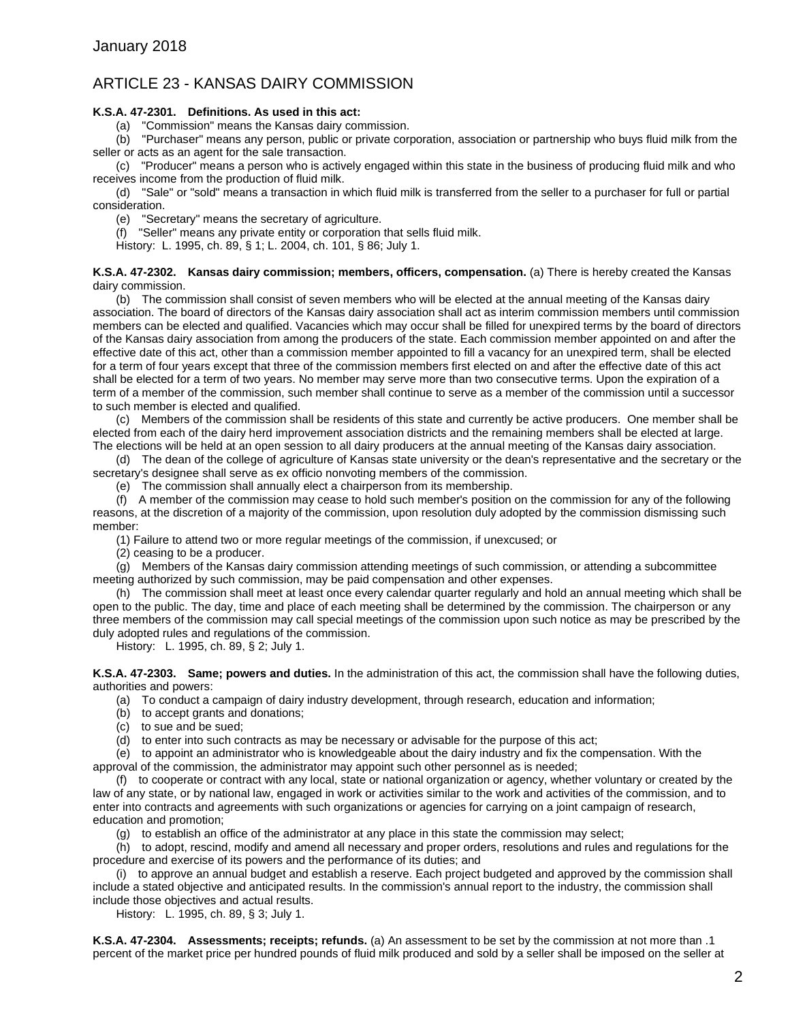# ARTICLE 23 - KANSAS DAIRY COMMISSION

#### **K.S.A. 47-2301. Definitions. As used in this act:**

(a) "Commission" means the Kansas dairy commission.

(b) "Purchaser" means any person, public or private corporation, association or partnership who buys fluid milk from the seller or acts as an agent for the sale transaction.

(c) "Producer" means a person who is actively engaged within this state in the business of producing fluid milk and who receives income from the production of fluid milk.

(d) "Sale" or "sold" means a transaction in which fluid milk is transferred from the seller to a purchaser for full or partial consideration.

(e) "Secretary" means the secretary of agriculture.

(f) "Seller" means any private entity or corporation that sells fluid milk.

History: L. 1995, ch. 89, § 1; L. 2004, ch. 101, § 86; July 1.

**K.S.A. 47-2302. Kansas dairy commission; members, officers, compensation.** (a) There is hereby created the Kansas dairy commission.

(b) The commission shall consist of seven members who will be elected at the annual meeting of the Kansas dairy association. The board of directors of the Kansas dairy association shall act as interim commission members until commission members can be elected and qualified. Vacancies which may occur shall be filled for unexpired terms by the board of directors of the Kansas dairy association from among the producers of the state. Each commission member appointed on and after the effective date of this act, other than a commission member appointed to fill a vacancy for an unexpired term, shall be elected for a term of four years except that three of the commission members first elected on and after the effective date of this act shall be elected for a term of two years. No member may serve more than two consecutive terms. Upon the expiration of a term of a member of the commission, such member shall continue to serve as a member of the commission until a successor to such member is elected and qualified.

(c) Members of the commission shall be residents of this state and currently be active producers. One member shall be elected from each of the dairy herd improvement association districts and the remaining members shall be elected at large. The elections will be held at an open session to all dairy producers at the annual meeting of the Kansas dairy association.

(d) The dean of the college of agriculture of Kansas state university or the dean's representative and the secretary or the secretary's designee shall serve as ex officio nonvoting members of the commission.

(e) The commission shall annually elect a chairperson from its membership.

(f) A member of the commission may cease to hold such member's position on the commission for any of the following reasons, at the discretion of a majority of the commission, upon resolution duly adopted by the commission dismissing such member:

(1) Failure to attend two or more regular meetings of the commission, if unexcused; or

(2) ceasing to be a producer.

(g) Members of the Kansas dairy commission attending meetings of such commission, or attending a subcommittee meeting authorized by such commission, may be paid compensation and other expenses.

(h) The commission shall meet at least once every calendar quarter regularly and hold an annual meeting which shall be open to the public. The day, time and place of each meeting shall be determined by the commission. The chairperson or any three members of the commission may call special meetings of the commission upon such notice as may be prescribed by the duly adopted rules and regulations of the commission.

History: L. 1995, ch. 89, § 2; July 1.

**K.S.A. 47-2303. Same; powers and duties.** In the administration of this act, the commission shall have the following duties, authorities and powers:

(a) To conduct a campaign of dairy industry development, through research, education and information;

- (b) to accept grants and donations;
- (c) to sue and be sued;

(d) to enter into such contracts as may be necessary or advisable for the purpose of this act;

(e) to appoint an administrator who is knowledgeable about the dairy industry and fix the compensation. With the approval of the commission, the administrator may appoint such other personnel as is needed;

(f) to cooperate or contract with any local, state or national organization or agency, whether voluntary or created by the law of any state, or by national law, engaged in work or activities similar to the work and activities of the commission, and to enter into contracts and agreements with such organizations or agencies for carrying on a joint campaign of research, education and promotion;

(g) to establish an office of the administrator at any place in this state the commission may select;

(h) to adopt, rescind, modify and amend all necessary and proper orders, resolutions and rules and regulations for the procedure and exercise of its powers and the performance of its duties; and

(i) to approve an annual budget and establish a reserve. Each project budgeted and approved by the commission shall include a stated objective and anticipated results. In the commission's annual report to the industry, the commission shall include those objectives and actual results.

History: L. 1995, ch. 89, § 3; July 1.

**K.S.A. 47-2304. Assessments; receipts; refunds.** (a) An assessment to be set by the commission at not more than .1 percent of the market price per hundred pounds of fluid milk produced and sold by a seller shall be imposed on the seller at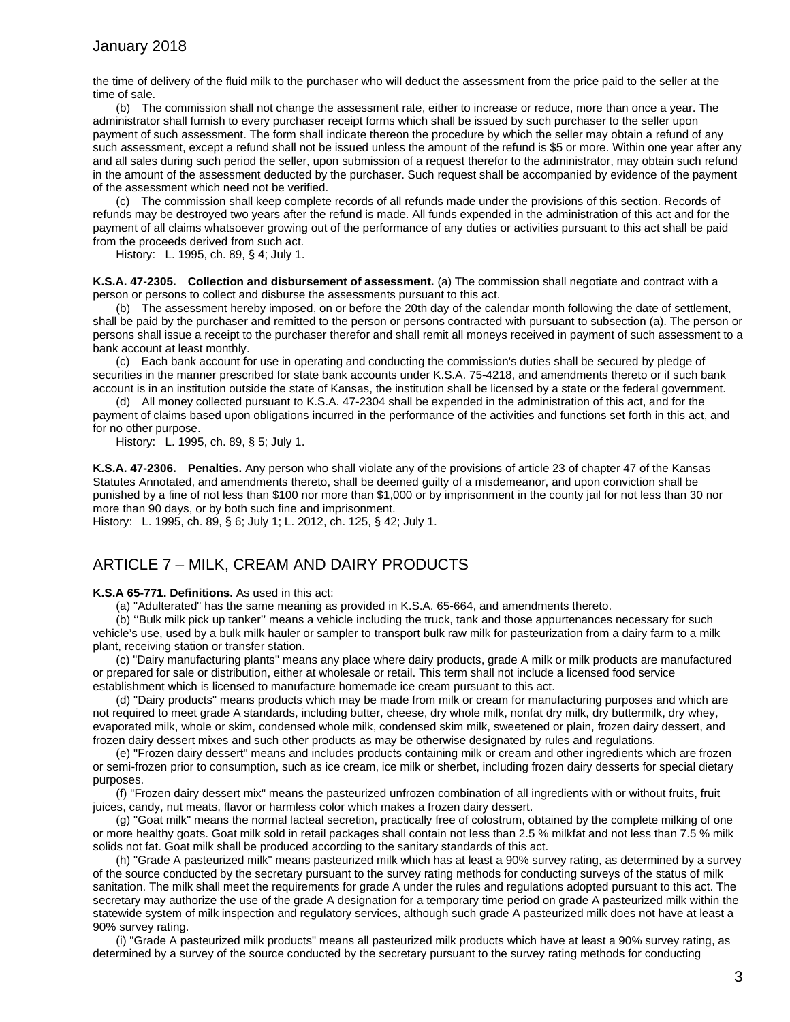the time of delivery of the fluid milk to the purchaser who will deduct the assessment from the price paid to the seller at the time of sale.

(b) The commission shall not change the assessment rate, either to increase or reduce, more than once a year. The administrator shall furnish to every purchaser receipt forms which shall be issued by such purchaser to the seller upon payment of such assessment. The form shall indicate thereon the procedure by which the seller may obtain a refund of any such assessment, except a refund shall not be issued unless the amount of the refund is \$5 or more. Within one year after any and all sales during such period the seller, upon submission of a request therefor to the administrator, may obtain such refund in the amount of the assessment deducted by the purchaser. Such request shall be accompanied by evidence of the payment of the assessment which need not be verified.

(c) The commission shall keep complete records of all refunds made under the provisions of this section. Records of refunds may be destroyed two years after the refund is made. All funds expended in the administration of this act and for the payment of all claims whatsoever growing out of the performance of any duties or activities pursuant to this act shall be paid from the proceeds derived from such act.

History: L. 1995, ch. 89, § 4; July 1.

**K.S.A. 47-2305. Collection and disbursement of assessment.** (a) The commission shall negotiate and contract with a person or persons to collect and disburse the assessments pursuant to this act.

(b) The assessment hereby imposed, on or before the 20th day of the calendar month following the date of settlement, shall be paid by the purchaser and remitted to the person or persons contracted with pursuant to subsection (a). The person or persons shall issue a receipt to the purchaser therefor and shall remit all moneys received in payment of such assessment to a bank account at least monthly.

(c) Each bank account for use in operating and conducting the commission's duties shall be secured by pledge of securities in the manner prescribed for state bank accounts under K.S.A. 75-4218, and amendments thereto or if such bank account is in an institution outside the state of Kansas, the institution shall be licensed by a state or the federal government.

(d) All money collected pursuant to K.S.A. 47-2304 shall be expended in the administration of this act, and for the payment of claims based upon obligations incurred in the performance of the activities and functions set forth in this act, and for no other purpose.

History: L. 1995, ch. 89, § 5; July 1.

**K.S.A. 47-2306. Penalties.** Any person who shall violate any of the provisions of article 23 of chapter 47 of the Kansas Statutes Annotated, and amendments thereto, shall be deemed guilty of a misdemeanor, and upon conviction shall be punished by a fine of not less than \$100 nor more than \$1,000 or by imprisonment in the county jail for not less than 30 nor more than 90 days, or by both such fine and imprisonment.

History: L. 1995, ch. 89, § 6; July 1; L. 2012, ch. 125, § 42; July 1.

### ARTICLE 7 – MILK, CREAM AND DAIRY PRODUCTS

#### **K.S.A 65-771. Definitions.** As used in this act:

(a) "Adulterated" has the same meaning as provided in K.S.A. 65-664, and amendments thereto.

(b) ''Bulk milk pick up tanker'' means a vehicle including the truck, tank and those appurtenances necessary for such vehicle's use, used by a bulk milk hauler or sampler to transport bulk raw milk for pasteurization from a dairy farm to a milk plant, receiving station or transfer station.

(c) "Dairy manufacturing plants" means any place where dairy products, grade A milk or milk products are manufactured or prepared for sale or distribution, either at wholesale or retail. This term shall not include a licensed food service establishment which is licensed to manufacture homemade ice cream pursuant to this act.

(d) "Dairy products" means products which may be made from milk or cream for manufacturing purposes and which are not required to meet grade A standards, including butter, cheese, dry whole milk, nonfat dry milk, dry buttermilk, dry whey, evaporated milk, whole or skim, condensed whole milk, condensed skim milk, sweetened or plain, frozen dairy dessert, and frozen dairy dessert mixes and such other products as may be otherwise designated by rules and regulations.

(e) "Frozen dairy dessert" means and includes products containing milk or cream and other ingredients which are frozen or semi-frozen prior to consumption, such as ice cream, ice milk or sherbet, including frozen dairy desserts for special dietary purposes.

(f) "Frozen dairy dessert mix" means the pasteurized unfrozen combination of all ingredients with or without fruits, fruit juices, candy, nut meats, flavor or harmless color which makes a frozen dairy dessert.

(g) "Goat milk" means the normal lacteal secretion, practically free of colostrum, obtained by the complete milking of one or more healthy goats. Goat milk sold in retail packages shall contain not less than 2.5 % milkfat and not less than 7.5 % milk solids not fat. Goat milk shall be produced according to the sanitary standards of this act.

(h) "Grade A pasteurized milk" means pasteurized milk which has at least a 90% survey rating, as determined by a survey of the source conducted by the secretary pursuant to the survey rating methods for conducting surveys of the status of milk sanitation. The milk shall meet the requirements for grade A under the rules and regulations adopted pursuant to this act. The secretary may authorize the use of the grade A designation for a temporary time period on grade A pasteurized milk within the statewide system of milk inspection and regulatory services, although such grade A pasteurized milk does not have at least a 90% survey rating.

(i) "Grade A pasteurized milk products" means all pasteurized milk products which have at least a 90% survey rating, as determined by a survey of the source conducted by the secretary pursuant to the survey rating methods for conducting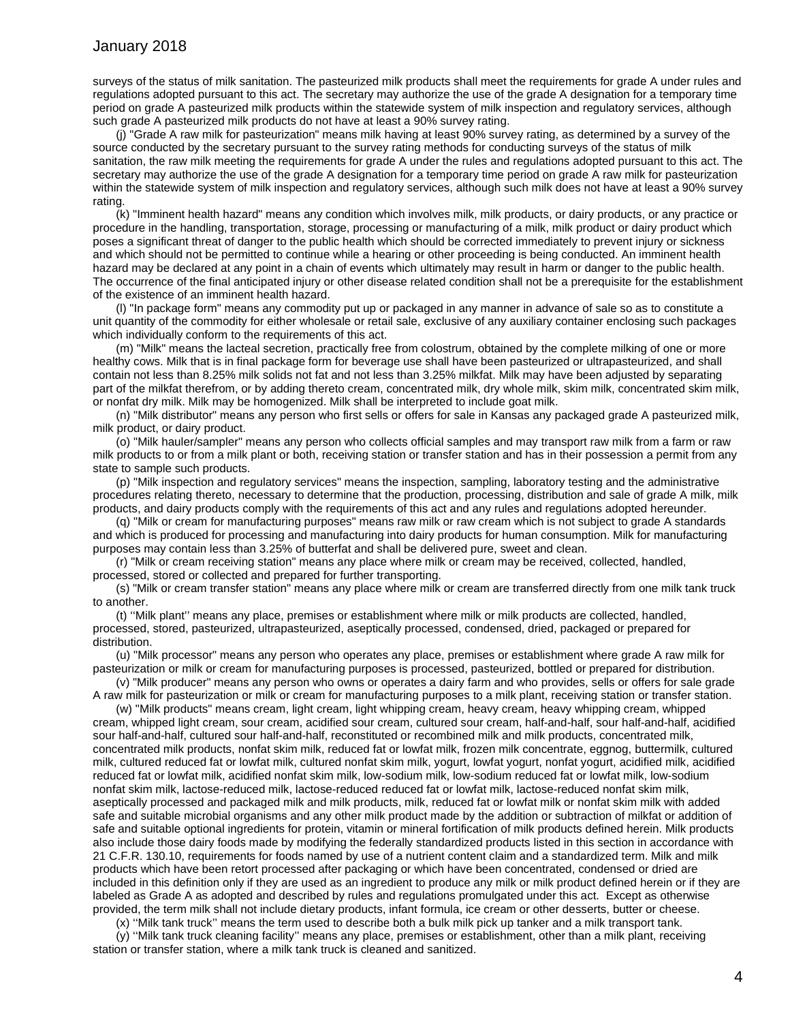surveys of the status of milk sanitation. The pasteurized milk products shall meet the requirements for grade A under rules and regulations adopted pursuant to this act. The secretary may authorize the use of the grade A designation for a temporary time period on grade A pasteurized milk products within the statewide system of milk inspection and regulatory services, although such grade A pasteurized milk products do not have at least a 90% survey rating.

(j) "Grade A raw milk for pasteurization" means milk having at least 90% survey rating, as determined by a survey of the source conducted by the secretary pursuant to the survey rating methods for conducting surveys of the status of milk sanitation, the raw milk meeting the requirements for grade A under the rules and regulations adopted pursuant to this act. The secretary may authorize the use of the grade A designation for a temporary time period on grade A raw milk for pasteurization within the statewide system of milk inspection and regulatory services, although such milk does not have at least a 90% survey rating.

(k) "Imminent health hazard" means any condition which involves milk, milk products, or dairy products, or any practice or procedure in the handling, transportation, storage, processing or manufacturing of a milk, milk product or dairy product which poses a significant threat of danger to the public health which should be corrected immediately to prevent injury or sickness and which should not be permitted to continue while a hearing or other proceeding is being conducted. An imminent health hazard may be declared at any point in a chain of events which ultimately may result in harm or danger to the public health. The occurrence of the final anticipated injury or other disease related condition shall not be a prerequisite for the establishment of the existence of an imminent health hazard.

(l) "In package form" means any commodity put up or packaged in any manner in advance of sale so as to constitute a unit quantity of the commodity for either wholesale or retail sale, exclusive of any auxiliary container enclosing such packages which individually conform to the requirements of this act.

(m) "Milk" means the lacteal secretion, practically free from colostrum, obtained by the complete milking of one or more healthy cows. Milk that is in final package form for beverage use shall have been pasteurized or ultrapasteurized, and shall contain not less than 8.25% milk solids not fat and not less than 3.25% milkfat. Milk may have been adjusted by separating part of the milkfat therefrom, or by adding thereto cream, concentrated milk, dry whole milk, skim milk, concentrated skim milk, or nonfat dry milk. Milk may be homogenized. Milk shall be interpreted to include goat milk.

(n) "Milk distributor" means any person who first sells or offers for sale in Kansas any packaged grade A pasteurized milk, milk product, or dairy product.

(o) "Milk hauler/sampler" means any person who collects official samples and may transport raw milk from a farm or raw milk products to or from a milk plant or both, receiving station or transfer station and has in their possession a permit from any state to sample such products.

(p) "Milk inspection and regulatory services" means the inspection, sampling, laboratory testing and the administrative procedures relating thereto, necessary to determine that the production, processing, distribution and sale of grade A milk, milk products, and dairy products comply with the requirements of this act and any rules and regulations adopted hereunder.

(q) "Milk or cream for manufacturing purposes" means raw milk or raw cream which is not subject to grade A standards and which is produced for processing and manufacturing into dairy products for human consumption. Milk for manufacturing purposes may contain less than 3.25% of butterfat and shall be delivered pure, sweet and clean.

(r) "Milk or cream receiving station" means any place where milk or cream may be received, collected, handled, processed, stored or collected and prepared for further transporting.

(s) "Milk or cream transfer station" means any place where milk or cream are transferred directly from one milk tank truck to another.

(t) ''Milk plant'' means any place, premises or establishment where milk or milk products are collected, handled, processed, stored, pasteurized, ultrapasteurized, aseptically processed, condensed, dried, packaged or prepared for distribution.

(u) "Milk processor" means any person who operates any place, premises or establishment where grade A raw milk for pasteurization or milk or cream for manufacturing purposes is processed, pasteurized, bottled or prepared for distribution.

(v) "Milk producer" means any person who owns or operates a dairy farm and who provides, sells or offers for sale grade A raw milk for pasteurization or milk or cream for manufacturing purposes to a milk plant, receiving station or transfer station.

(w) "Milk products" means cream, light cream, light whipping cream, heavy cream, heavy whipping cream, whipped cream, whipped light cream, sour cream, acidified sour cream, cultured sour cream, half-and-half, sour half-and-half, acidified sour half-and-half, cultured sour half-and-half, reconstituted or recombined milk and milk products, concentrated milk, concentrated milk products, nonfat skim milk, reduced fat or lowfat milk, frozen milk concentrate, eggnog, buttermilk, cultured milk, cultured reduced fat or lowfat milk, cultured nonfat skim milk, yogurt, lowfat yogurt, nonfat yogurt, acidified milk, acidified reduced fat or lowfat milk, acidified nonfat skim milk, low-sodium milk, low-sodium reduced fat or lowfat milk, low-sodium nonfat skim milk, lactose-reduced milk, lactose-reduced reduced fat or lowfat milk, lactose-reduced nonfat skim milk, aseptically processed and packaged milk and milk products, milk, reduced fat or lowfat milk or nonfat skim milk with added safe and suitable microbial organisms and any other milk product made by the addition or subtraction of milkfat or addition of safe and suitable optional ingredients for protein, vitamin or mineral fortification of milk products defined herein. Milk products also include those dairy foods made by modifying the federally standardized products listed in this section in accordance with 21 C.F.R. 130.10, requirements for foods named by use of a nutrient content claim and a standardized term. Milk and milk products which have been retort processed after packaging or which have been concentrated, condensed or dried are included in this definition only if they are used as an ingredient to produce any milk or milk product defined herein or if they are labeled as Grade A as adopted and described by rules and regulations promulgated under this act. Except as otherwise provided, the term milk shall not include dietary products, infant formula, ice cream or other desserts, butter or cheese.

(x) ''Milk tank truck'' means the term used to describe both a bulk milk pick up tanker and a milk transport tank.

(y) ''Milk tank truck cleaning facility'' means any place, premises or establishment, other than a milk plant, receiving station or transfer station, where a milk tank truck is cleaned and sanitized.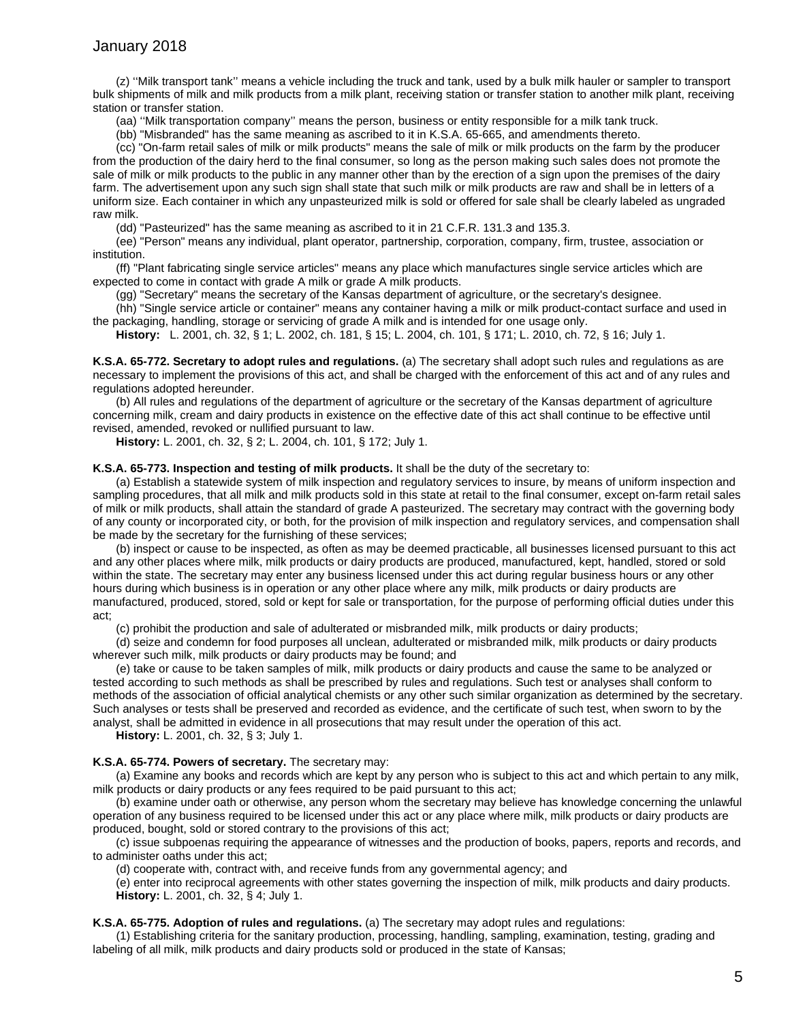(z) ''Milk transport tank'' means a vehicle including the truck and tank, used by a bulk milk hauler or sampler to transport bulk shipments of milk and milk products from a milk plant, receiving station or transfer station to another milk plant, receiving station or transfer station.

(aa) ''Milk transportation company'' means the person, business or entity responsible for a milk tank truck.

(bb) "Misbranded" has the same meaning as ascribed to it in K.S.A. 65-665, and amendments thereto.

(cc) "On-farm retail sales of milk or milk products" means the sale of milk or milk products on the farm by the producer from the production of the dairy herd to the final consumer, so long as the person making such sales does not promote the sale of milk or milk products to the public in any manner other than by the erection of a sign upon the premises of the dairy farm. The advertisement upon any such sign shall state that such milk or milk products are raw and shall be in letters of a uniform size. Each container in which any unpasteurized milk is sold or offered for sale shall be clearly labeled as ungraded raw milk.

(dd) "Pasteurized" has the same meaning as ascribed to it in 21 C.F.R. 131.3 and 135.3.

(ee) "Person" means any individual, plant operator, partnership, corporation, company, firm, trustee, association or institution.

(ff) "Plant fabricating single service articles" means any place which manufactures single service articles which are expected to come in contact with grade A milk or grade A milk products.

(gg) "Secretary" means the secretary of the Kansas department of agriculture, or the secretary's designee.

(hh) "Single service article or container" means any container having a milk or milk product-contact surface and used in the packaging, handling, storage or servicing of grade A milk and is intended for one usage only.

**History:** L. 2001, ch. 32, § 1; L. 2002, ch. 181, § 15; L. 2004, ch. 101, § 171; L. 2010, ch. 72, § 16; July 1.

**K.S.A. 65-772. Secretary to adopt rules and regulations.** (a) The secretary shall adopt such rules and regulations as are necessary to implement the provisions of this act, and shall be charged with the enforcement of this act and of any rules and regulations adopted hereunder.

(b) All rules and regulations of the department of agriculture or the secretary of the Kansas department of agriculture concerning milk, cream and dairy products in existence on the effective date of this act shall continue to be effective until revised, amended, revoked or nullified pursuant to law.

**History:** L. 2001, ch. 32, § 2; L. 2004, ch. 101, § 172; July 1.

#### **K.S.A. 65-773. Inspection and testing of milk products.** It shall be the duty of the secretary to:

(a) Establish a statewide system of milk inspection and regulatory services to insure, by means of uniform inspection and sampling procedures, that all milk and milk products sold in this state at retail to the final consumer, except on-farm retail sales of milk or milk products, shall attain the standard of grade A pasteurized. The secretary may contract with the governing body of any county or incorporated city, or both, for the provision of milk inspection and regulatory services, and compensation shall be made by the secretary for the furnishing of these services;

(b) inspect or cause to be inspected, as often as may be deemed practicable, all businesses licensed pursuant to this act and any other places where milk, milk products or dairy products are produced, manufactured, kept, handled, stored or sold within the state. The secretary may enter any business licensed under this act during regular business hours or any other hours during which business is in operation or any other place where any milk, milk products or dairy products are manufactured, produced, stored, sold or kept for sale or transportation, for the purpose of performing official duties under this act;

(c) prohibit the production and sale of adulterated or misbranded milk, milk products or dairy products;

(d) seize and condemn for food purposes all unclean, adulterated or misbranded milk, milk products or dairy products wherever such milk, milk products or dairy products may be found; and

(e) take or cause to be taken samples of milk, milk products or dairy products and cause the same to be analyzed or tested according to such methods as shall be prescribed by rules and regulations. Such test or analyses shall conform to methods of the association of official analytical chemists or any other such similar organization as determined by the secretary. Such analyses or tests shall be preserved and recorded as evidence, and the certificate of such test, when sworn to by the analyst, shall be admitted in evidence in all prosecutions that may result under the operation of this act.

**History:** L. 2001, ch. 32, § 3; July 1.

#### **K.S.A. 65-774. Powers of secretary.** The secretary may:

(a) Examine any books and records which are kept by any person who is subject to this act and which pertain to any milk, milk products or dairy products or any fees required to be paid pursuant to this act;

(b) examine under oath or otherwise, any person whom the secretary may believe has knowledge concerning the unlawful operation of any business required to be licensed under this act or any place where milk, milk products or dairy products are produced, bought, sold or stored contrary to the provisions of this act;

(c) issue subpoenas requiring the appearance of witnesses and the production of books, papers, reports and records, and to administer oaths under this act;

(d) cooperate with, contract with, and receive funds from any governmental agency; and

(e) enter into reciprocal agreements with other states governing the inspection of milk, milk products and dairy products. **History:** L. 2001, ch. 32, § 4; July 1.

#### **K.S.A. 65-775. Adoption of rules and regulations.** (a) The secretary may adopt rules and regulations:

(1) Establishing criteria for the sanitary production, processing, handling, sampling, examination, testing, grading and labeling of all milk, milk products and dairy products sold or produced in the state of Kansas;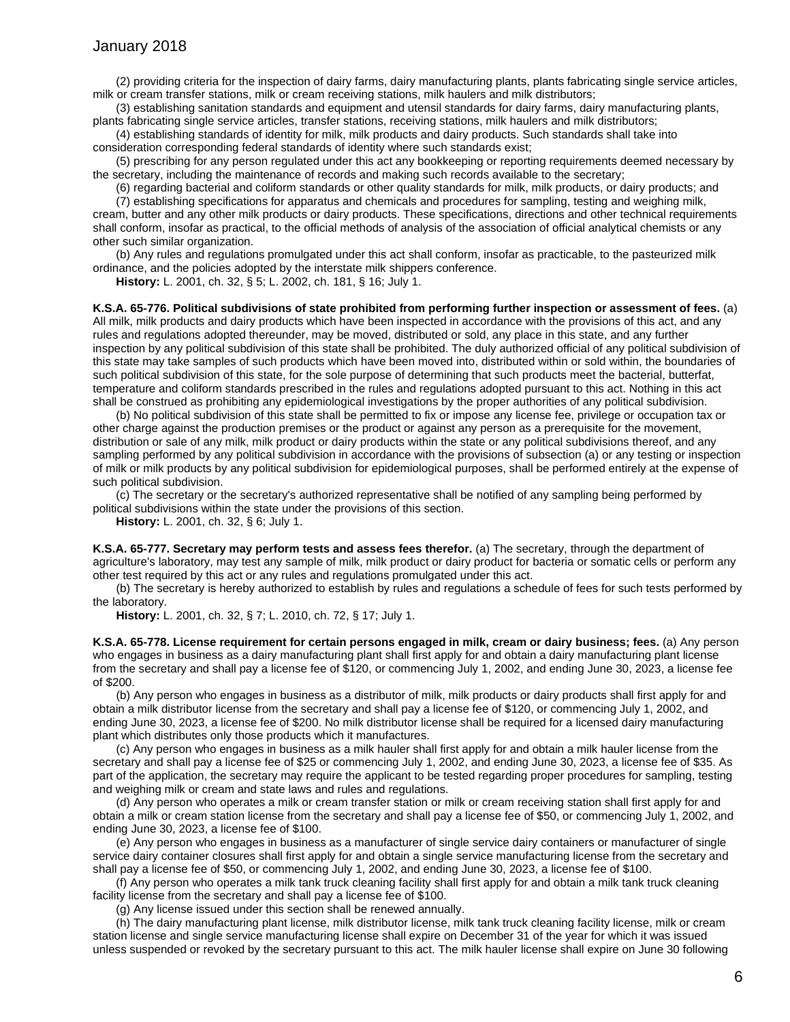(2) providing criteria for the inspection of dairy farms, dairy manufacturing plants, plants fabricating single service articles, milk or cream transfer stations, milk or cream receiving stations, milk haulers and milk distributors;

(3) establishing sanitation standards and equipment and utensil standards for dairy farms, dairy manufacturing plants, plants fabricating single service articles, transfer stations, receiving stations, milk haulers and milk distributors;

(4) establishing standards of identity for milk, milk products and dairy products. Such standards shall take into consideration corresponding federal standards of identity where such standards exist;

(5) prescribing for any person regulated under this act any bookkeeping or reporting requirements deemed necessary by the secretary, including the maintenance of records and making such records available to the secretary;

(6) regarding bacterial and coliform standards or other quality standards for milk, milk products, or dairy products; and

(7) establishing specifications for apparatus and chemicals and procedures for sampling, testing and weighing milk, cream, butter and any other milk products or dairy products. These specifications, directions and other technical requirements shall conform, insofar as practical, to the official methods of analysis of the association of official analytical chemists or any other such similar organization.

(b) Any rules and regulations promulgated under this act shall conform, insofar as practicable, to the pasteurized milk ordinance, and the policies adopted by the interstate milk shippers conference.

**History:** L. 2001, ch. 32, § 5; L. 2002, ch. 181, § 16; July 1.

**K.S.A. 65-776. Political subdivisions of state prohibited from performing further inspection or assessment of fees.** (a) All milk, milk products and dairy products which have been inspected in accordance with the provisions of this act, and any rules and regulations adopted thereunder, may be moved, distributed or sold, any place in this state, and any further inspection by any political subdivision of this state shall be prohibited. The duly authorized official of any political subdivision of this state may take samples of such products which have been moved into, distributed within or sold within, the boundaries of such political subdivision of this state, for the sole purpose of determining that such products meet the bacterial, butterfat, temperature and coliform standards prescribed in the rules and regulations adopted pursuant to this act. Nothing in this act shall be construed as prohibiting any epidemiological investigations by the proper authorities of any political subdivision.

(b) No political subdivision of this state shall be permitted to fix or impose any license fee, privilege or occupation tax or other charge against the production premises or the product or against any person as a prerequisite for the movement, distribution or sale of any milk, milk product or dairy products within the state or any political subdivisions thereof, and any sampling performed by any political subdivision in accordance with the provisions of subsection (a) or any testing or inspection of milk or milk products by any political subdivision for epidemiological purposes, shall be performed entirely at the expense of such political subdivision.

(c) The secretary or the secretary's authorized representative shall be notified of any sampling being performed by political subdivisions within the state under the provisions of this section.

**History:** L. 2001, ch. 32, § 6; July 1.

**K.S.A. 65-777. Secretary may perform tests and assess fees therefor.** (a) The secretary, through the department of agriculture's laboratory, may test any sample of milk, milk product or dairy product for bacteria or somatic cells or perform any other test required by this act or any rules and regulations promulgated under this act.

(b) The secretary is hereby authorized to establish by rules and regulations a schedule of fees for such tests performed by the laboratory.

**History:** L. 2001, ch. 32, § 7; L. 2010, ch. 72, § 17; July 1.

**K.S.A. 65-778. License requirement for certain persons engaged in milk, cream or dairy business; fees.** (a) Any person who engages in business as a dairy manufacturing plant shall first apply for and obtain a dairy manufacturing plant license from the secretary and shall pay a license fee of \$120, or commencing July 1, 2002, and ending June 30, 2023, a license fee of \$200.

(b) Any person who engages in business as a distributor of milk, milk products or dairy products shall first apply for and obtain a milk distributor license from the secretary and shall pay a license fee of \$120, or commencing July 1, 2002, and ending June 30, 2023, a license fee of \$200. No milk distributor license shall be required for a licensed dairy manufacturing plant which distributes only those products which it manufactures.

(c) Any person who engages in business as a milk hauler shall first apply for and obtain a milk hauler license from the secretary and shall pay a license fee of \$25 or commencing July 1, 2002, and ending June 30, 2023, a license fee of \$35. As part of the application, the secretary may require the applicant to be tested regarding proper procedures for sampling, testing and weighing milk or cream and state laws and rules and regulations.

(d) Any person who operates a milk or cream transfer station or milk or cream receiving station shall first apply for and obtain a milk or cream station license from the secretary and shall pay a license fee of \$50, or commencing July 1, 2002, and ending June 30, 2023, a license fee of \$100.

(e) Any person who engages in business as a manufacturer of single service dairy containers or manufacturer of single service dairy container closures shall first apply for and obtain a single service manufacturing license from the secretary and shall pay a license fee of \$50, or commencing July 1, 2002, and ending June 30, 2023, a license fee of \$100.

(f) Any person who operates a milk tank truck cleaning facility shall first apply for and obtain a milk tank truck cleaning facility license from the secretary and shall pay a license fee of \$100.

(g) Any license issued under this section shall be renewed annually.

(h) The dairy manufacturing plant license, milk distributor license, milk tank truck cleaning facility license, milk or cream station license and single service manufacturing license shall expire on December 31 of the year for which it was issued unless suspended or revoked by the secretary pursuant to this act. The milk hauler license shall expire on June 30 following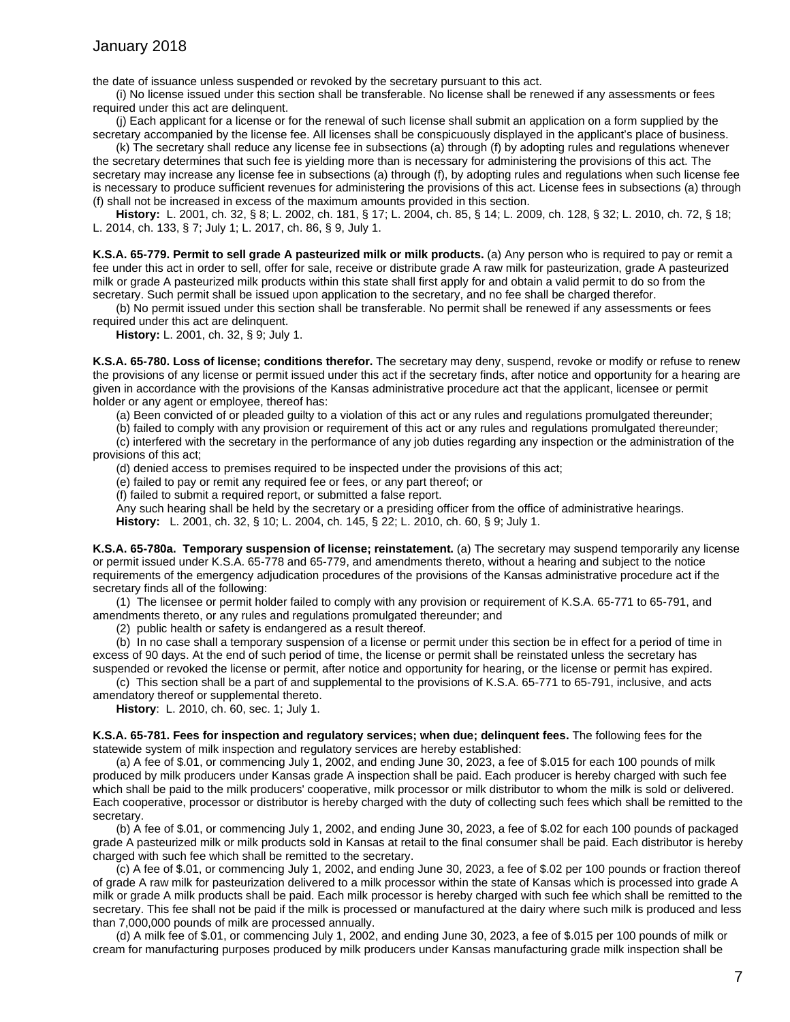the date of issuance unless suspended or revoked by the secretary pursuant to this act.

(i) No license issued under this section shall be transferable. No license shall be renewed if any assessments or fees required under this act are delinquent.

(j) Each applicant for a license or for the renewal of such license shall submit an application on a form supplied by the secretary accompanied by the license fee. All licenses shall be conspicuously displayed in the applicant's place of business.

(k) The secretary shall reduce any license fee in subsections (a) through (f) by adopting rules and regulations whenever the secretary determines that such fee is yielding more than is necessary for administering the provisions of this act. The secretary may increase any license fee in subsections (a) through (f), by adopting rules and regulations when such license fee is necessary to produce sufficient revenues for administering the provisions of this act. License fees in subsections (a) through (f) shall not be increased in excess of the maximum amounts provided in this section.

**History:** L. 2001, ch. 32, § 8; L. 2002, ch. 181, § 17; L. 2004, ch. 85, § 14; L. 2009, ch. 128, § 32; L. 2010, ch. 72, § 18; L. 2014, ch. 133, § 7; July 1; L. 2017, ch. 86, § 9, July 1.

**K.S.A. 65-779. Permit to sell grade A pasteurized milk or milk products.** (a) Any person who is required to pay or remit a fee under this act in order to sell, offer for sale, receive or distribute grade A raw milk for pasteurization, grade A pasteurized milk or grade A pasteurized milk products within this state shall first apply for and obtain a valid permit to do so from the secretary. Such permit shall be issued upon application to the secretary, and no fee shall be charged therefor.

(b) No permit issued under this section shall be transferable. No permit shall be renewed if any assessments or fees required under this act are delinquent.

**History:** L. 2001, ch. 32, § 9; July 1.

**K.S.A. 65-780. Loss of license; conditions therefor.** The secretary may deny, suspend, revoke or modify or refuse to renew the provisions of any license or permit issued under this act if the secretary finds, after notice and opportunity for a hearing are given in accordance with the provisions of the Kansas administrative procedure act that the applicant, licensee or permit holder or any agent or employee, thereof has:

(a) Been convicted of or pleaded guilty to a violation of this act or any rules and regulations promulgated thereunder;

(b) failed to comply with any provision or requirement of this act or any rules and regulations promulgated thereunder;

(c) interfered with the secretary in the performance of any job duties regarding any inspection or the administration of the provisions of this act;

(d) denied access to premises required to be inspected under the provisions of this act;

(e) failed to pay or remit any required fee or fees, or any part thereof; or

(f) failed to submit a required report, or submitted a false report.

Any such hearing shall be held by the secretary or a presiding officer from the office of administrative hearings.

**History:** L. 2001, ch. 32, § 10; L. 2004, ch. 145, § 22; L. 2010, ch. 60, § 9; July 1.

**K.S.A. 65-780a. Temporary suspension of license; reinstatement.** (a) The secretary may suspend temporarily any license or permit issued under K.S.A. 65-778 and 65-779, and amendments thereto, without a hearing and subject to the notice requirements of the emergency adjudication procedures of the provisions of the Kansas administrative procedure act if the secretary finds all of the following:

(1) The licensee or permit holder failed to comply with any provision or requirement of K.S.A. 65-771 to 65-791, and amendments thereto, or any rules and regulations promulgated thereunder; and

(2) public health or safety is endangered as a result thereof.

(b) In no case shall a temporary suspension of a license or permit under this section be in effect for a period of time in excess of 90 days. At the end of such period of time, the license or permit shall be reinstated unless the secretary has suspended or revoked the license or permit, after notice and opportunity for hearing, or the license or permit has expired.

(c) This section shall be a part of and supplemental to the provisions of K.S.A. 65-771 to 65-791, inclusive, and acts amendatory thereof or supplemental thereto.

**History**: L. 2010, ch. 60, sec. 1; July 1.

**K.S.A. 65-781. Fees for inspection and regulatory services; when due; delinquent fees.** The following fees for the statewide system of milk inspection and regulatory services are hereby established:

(a) A fee of \$.01, or commencing July 1, 2002, and ending June 30, 2023, a fee of \$.015 for each 100 pounds of milk produced by milk producers under Kansas grade A inspection shall be paid. Each producer is hereby charged with such fee which shall be paid to the milk producers' cooperative, milk processor or milk distributor to whom the milk is sold or delivered. Each cooperative, processor or distributor is hereby charged with the duty of collecting such fees which shall be remitted to the secretary.

(b) A fee of \$.01, or commencing July 1, 2002, and ending June 30, 2023, a fee of \$.02 for each 100 pounds of packaged grade A pasteurized milk or milk products sold in Kansas at retail to the final consumer shall be paid. Each distributor is hereby charged with such fee which shall be remitted to the secretary.

(c) A fee of \$.01, or commencing July 1, 2002, and ending June 30, 2023, a fee of \$.02 per 100 pounds or fraction thereof of grade A raw milk for pasteurization delivered to a milk processor within the state of Kansas which is processed into grade A milk or grade A milk products shall be paid. Each milk processor is hereby charged with such fee which shall be remitted to the secretary. This fee shall not be paid if the milk is processed or manufactured at the dairy where such milk is produced and less than 7,000,000 pounds of milk are processed annually.

(d) A milk fee of \$.01, or commencing July 1, 2002, and ending June 30, 2023, a fee of \$.015 per 100 pounds of milk or cream for manufacturing purposes produced by milk producers under Kansas manufacturing grade milk inspection shall be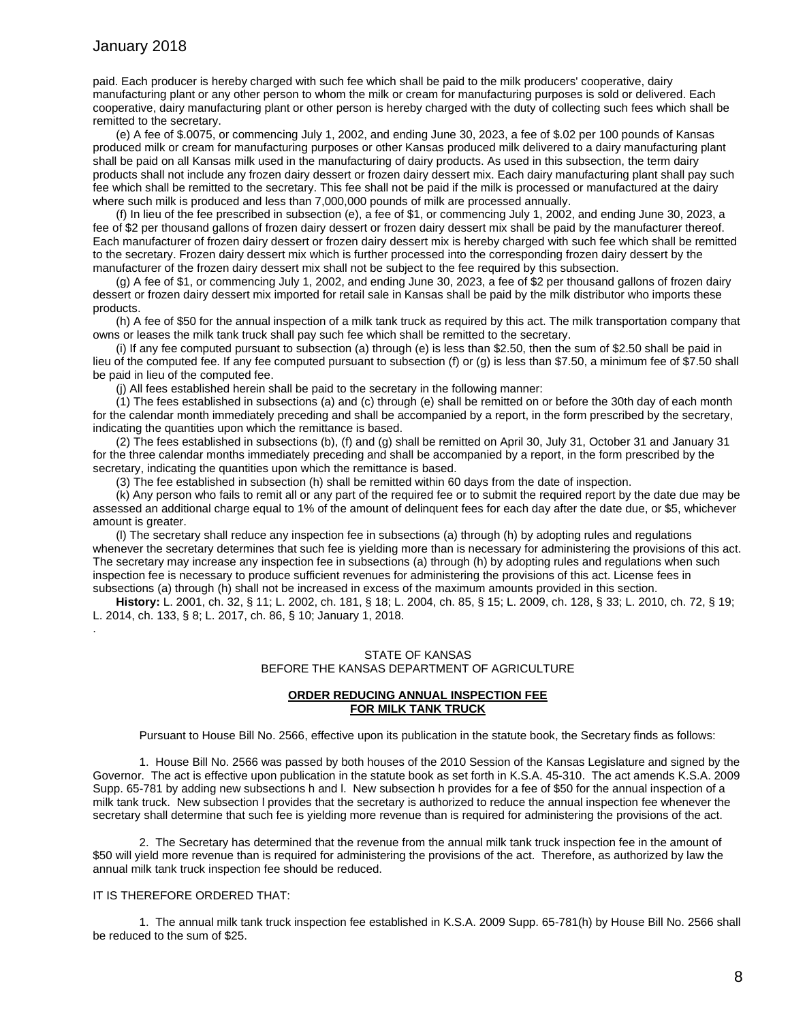paid. Each producer is hereby charged with such fee which shall be paid to the milk producers' cooperative, dairy manufacturing plant or any other person to whom the milk or cream for manufacturing purposes is sold or delivered. Each cooperative, dairy manufacturing plant or other person is hereby charged with the duty of collecting such fees which shall be remitted to the secretary.

(e) A fee of \$.0075, or commencing July 1, 2002, and ending June 30, 2023, a fee of \$.02 per 100 pounds of Kansas produced milk or cream for manufacturing purposes or other Kansas produced milk delivered to a dairy manufacturing plant shall be paid on all Kansas milk used in the manufacturing of dairy products. As used in this subsection, the term dairy products shall not include any frozen dairy dessert or frozen dairy dessert mix. Each dairy manufacturing plant shall pay such fee which shall be remitted to the secretary. This fee shall not be paid if the milk is processed or manufactured at the dairy where such milk is produced and less than 7,000,000 pounds of milk are processed annually.

(f) In lieu of the fee prescribed in subsection (e), a fee of \$1, or commencing July 1, 2002, and ending June 30, 2023, a fee of \$2 per thousand gallons of frozen dairy dessert or frozen dairy dessert mix shall be paid by the manufacturer thereof. Each manufacturer of frozen dairy dessert or frozen dairy dessert mix is hereby charged with such fee which shall be remitted to the secretary. Frozen dairy dessert mix which is further processed into the corresponding frozen dairy dessert by the manufacturer of the frozen dairy dessert mix shall not be subject to the fee required by this subsection.

(g) A fee of \$1, or commencing July 1, 2002, and ending June 30, 2023, a fee of \$2 per thousand gallons of frozen dairy dessert or frozen dairy dessert mix imported for retail sale in Kansas shall be paid by the milk distributor who imports these products.

(h) A fee of \$50 for the annual inspection of a milk tank truck as required by this act. The milk transportation company that owns or leases the milk tank truck shall pay such fee which shall be remitted to the secretary.

(i) If any fee computed pursuant to subsection (a) through (e) is less than \$2.50, then the sum of \$2.50 shall be paid in lieu of the computed fee. If any fee computed pursuant to subsection (f) or (g) is less than \$7.50, a minimum fee of \$7.50 shall be paid in lieu of the computed fee.

(j) All fees established herein shall be paid to the secretary in the following manner:

(1) The fees established in subsections (a) and (c) through (e) shall be remitted on or before the 30th day of each month for the calendar month immediately preceding and shall be accompanied by a report, in the form prescribed by the secretary, indicating the quantities upon which the remittance is based.

(2) The fees established in subsections (b), (f) and (g) shall be remitted on April 30, July 31, October 31 and January 31 for the three calendar months immediately preceding and shall be accompanied by a report, in the form prescribed by the secretary, indicating the quantities upon which the remittance is based.

(3) The fee established in subsection (h) shall be remitted within 60 days from the date of inspection.

(k) Any person who fails to remit all or any part of the required fee or to submit the required report by the date due may be assessed an additional charge equal to 1% of the amount of delinquent fees for each day after the date due, or \$5, whichever amount is greater.

(l) The secretary shall reduce any inspection fee in subsections (a) through (h) by adopting rules and regulations whenever the secretary determines that such fee is yielding more than is necessary for administering the provisions of this act. The secretary may increase any inspection fee in subsections (a) through (h) by adopting rules and regulations when such inspection fee is necessary to produce sufficient revenues for administering the provisions of this act. License fees in subsections (a) through (h) shall not be increased in excess of the maximum amounts provided in this section.

**History:** L. 2001, ch. 32, § 11; L. 2002, ch. 181, § 18; L. 2004, ch. 85, § 15; L. 2009, ch. 128, § 33; L. 2010, ch. 72, § 19; L. 2014, ch. 133, § 8; L. 2017, ch. 86, § 10; January 1, 2018.

#### STATE OF KANSAS BEFORE THE KANSAS DEPARTMENT OF AGRICULTURE

#### **ORDER REDUCING ANNUAL INSPECTION FEE FOR MILK TANK TRUCK**

Pursuant to House Bill No. 2566, effective upon its publication in the statute book, the Secretary finds as follows:

1. House Bill No. 2566 was passed by both houses of the 2010 Session of the Kansas Legislature and signed by the Governor. The act is effective upon publication in the statute book as set forth in K.S.A. 45-310. The act amends K.S.A. 2009 Supp. 65-781 by adding new subsections h and l. New subsection h provides for a fee of \$50 for the annual inspection of a milk tank truck. New subsection l provides that the secretary is authorized to reduce the annual inspection fee whenever the secretary shall determine that such fee is yielding more revenue than is required for administering the provisions of the act.

2. The Secretary has determined that the revenue from the annual milk tank truck inspection fee in the amount of \$50 will yield more revenue than is required for administering the provisions of the act. Therefore, as authorized by law the annual milk tank truck inspection fee should be reduced.

#### IT IS THEREFORE ORDERED THAT:

.

1. The annual milk tank truck inspection fee established in K.S.A. 2009 Supp. 65-781(h) by House Bill No. 2566 shall be reduced to the sum of \$25.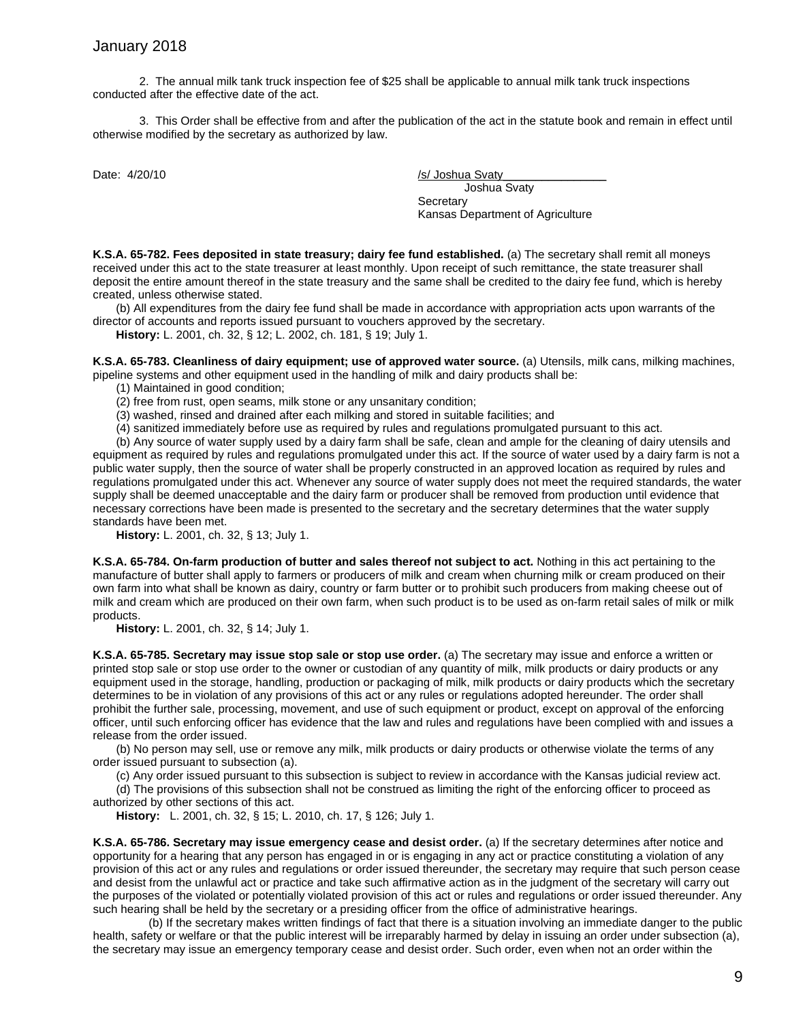2. The annual milk tank truck inspection fee of \$25 shall be applicable to annual milk tank truck inspections conducted after the effective date of the act.

3. This Order shall be effective from and after the publication of the act in the statute book and remain in effect until otherwise modified by the secretary as authorized by law.

Date: 4/20/10 /s/ Joshua Svaty Joshua Svaty

**Secretary** Kansas Department of Agriculture

**K.S.A. 65-782. Fees deposited in state treasury; dairy fee fund established.** (a) The secretary shall remit all moneys received under this act to the state treasurer at least monthly. Upon receipt of such remittance, the state treasurer shall deposit the entire amount thereof in the state treasury and the same shall be credited to the dairy fee fund, which is hereby created, unless otherwise stated.

(b) All expenditures from the dairy fee fund shall be made in accordance with appropriation acts upon warrants of the director of accounts and reports issued pursuant to vouchers approved by the secretary.

**History:** L. 2001, ch. 32, § 12; L. 2002, ch. 181, § 19; July 1.

**K.S.A. 65-783. Cleanliness of dairy equipment; use of approved water source.** (a) Utensils, milk cans, milking machines, pipeline systems and other equipment used in the handling of milk and dairy products shall be:

(1) Maintained in good condition;

(2) free from rust, open seams, milk stone or any unsanitary condition;

- (3) washed, rinsed and drained after each milking and stored in suitable facilities; and
- (4) sanitized immediately before use as required by rules and regulations promulgated pursuant to this act.

(b) Any source of water supply used by a dairy farm shall be safe, clean and ample for the cleaning of dairy utensils and equipment as required by rules and regulations promulgated under this act. If the source of water used by a dairy farm is not a public water supply, then the source of water shall be properly constructed in an approved location as required by rules and regulations promulgated under this act. Whenever any source of water supply does not meet the required standards, the water supply shall be deemed unacceptable and the dairy farm or producer shall be removed from production until evidence that necessary corrections have been made is presented to the secretary and the secretary determines that the water supply standards have been met.

**History:** L. 2001, ch. 32, § 13; July 1.

**K.S.A. 65-784. On-farm production of butter and sales thereof not subject to act.** Nothing in this act pertaining to the manufacture of butter shall apply to farmers or producers of milk and cream when churning milk or cream produced on their own farm into what shall be known as dairy, country or farm butter or to prohibit such producers from making cheese out of milk and cream which are produced on their own farm, when such product is to be used as on-farm retail sales of milk or milk products.

**History:** L. 2001, ch. 32, § 14; July 1.

**K.S.A. 65-785. Secretary may issue stop sale or stop use order.** (a) The secretary may issue and enforce a written or printed stop sale or stop use order to the owner or custodian of any quantity of milk, milk products or dairy products or any equipment used in the storage, handling, production or packaging of milk, milk products or dairy products which the secretary determines to be in violation of any provisions of this act or any rules or regulations adopted hereunder. The order shall prohibit the further sale, processing, movement, and use of such equipment or product, except on approval of the enforcing officer, until such enforcing officer has evidence that the law and rules and regulations have been complied with and issues a release from the order issued.

(b) No person may sell, use or remove any milk, milk products or dairy products or otherwise violate the terms of any order issued pursuant to subsection (a).

(c) Any order issued pursuant to this subsection is subject to review in accordance with the Kansas judicial review act.

(d) The provisions of this subsection shall not be construed as limiting the right of the enforcing officer to proceed as authorized by other sections of this act.

**History:** L. 2001, ch. 32, § 15; L. 2010, ch. 17, § 126; July 1.

**K.S.A. 65-786. Secretary may issue emergency cease and desist order.** (a) If the secretary determines after notice and opportunity for a hearing that any person has engaged in or is engaging in any act or practice constituting a violation of any provision of this act or any rules and regulations or order issued thereunder, the secretary may require that such person cease and desist from the unlawful act or practice and take such affirmative action as in the judgment of the secretary will carry out the purposes of the violated or potentially violated provision of this act or rules and regulations or order issued thereunder. Any such hearing shall be held by the secretary or a presiding officer from the office of administrative hearings.

(b) If the secretary makes written findings of fact that there is a situation involving an immediate danger to the public health, safety or welfare or that the public interest will be irreparably harmed by delay in issuing an order under subsection (a), the secretary may issue an emergency temporary cease and desist order. Such order, even when not an order within the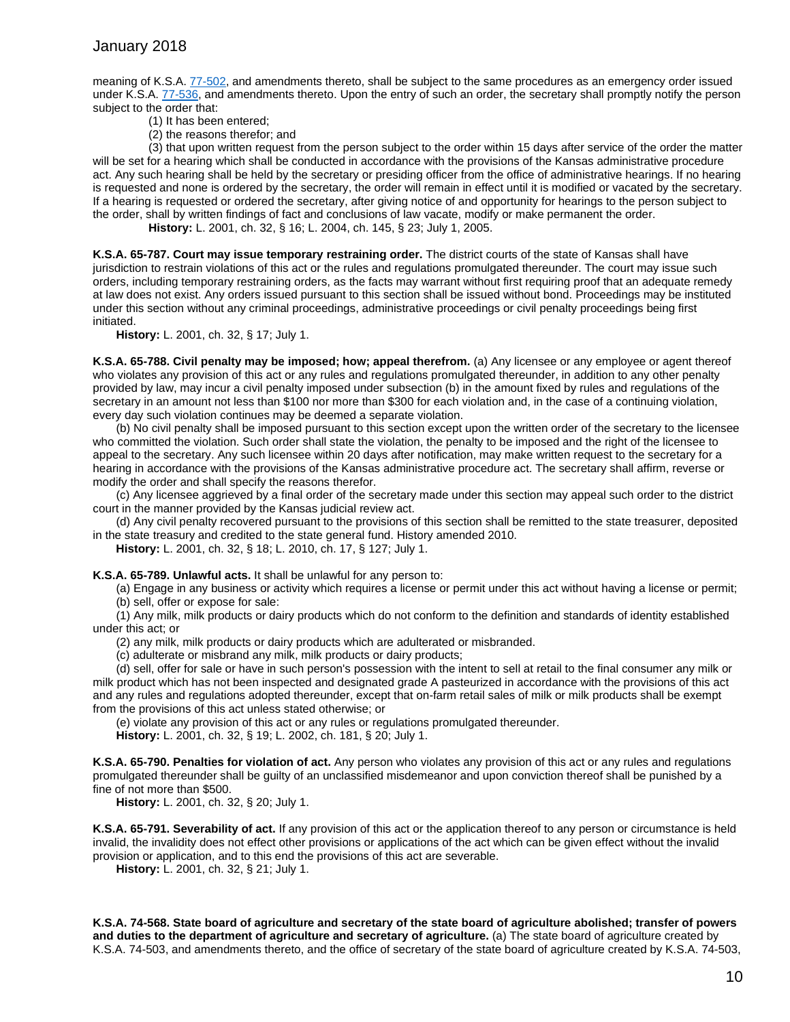meaning of K.S.A. [77-502,](http://www.ksrevisor.org/statutes/chapters/ch77/077_005_0002.html) and amendments thereto, shall be subject to the same procedures as an emergency order issued under K.S.A. [77-536,](http://www.ksrevisor.org/statutes/chapters/ch77/077_005_0036.html) and amendments thereto. Upon the entry of such an order, the secretary shall promptly notify the person subject to the order that:

- (1) It has been entered;
- (2) the reasons therefor; and

(3) that upon written request from the person subject to the order within 15 days after service of the order the matter will be set for a hearing which shall be conducted in accordance with the provisions of the Kansas administrative procedure act. Any such hearing shall be held by the secretary or presiding officer from the office of administrative hearings. If no hearing is requested and none is ordered by the secretary, the order will remain in effect until it is modified or vacated by the secretary. If a hearing is requested or ordered the secretary, after giving notice of and opportunity for hearings to the person subject to the order, shall by written findings of fact and conclusions of law vacate, modify or make permanent the order.

**History:** L. 2001, ch. 32, § 16; L. 2004, ch. 145, § 23; July 1, 2005.

**K.S.A. 65-787. Court may issue temporary restraining order.** The district courts of the state of Kansas shall have jurisdiction to restrain violations of this act or the rules and regulations promulgated thereunder. The court may issue such orders, including temporary restraining orders, as the facts may warrant without first requiring proof that an adequate remedy at law does not exist. Any orders issued pursuant to this section shall be issued without bond. Proceedings may be instituted under this section without any criminal proceedings, administrative proceedings or civil penalty proceedings being first initiated.

**History:** L. 2001, ch. 32, § 17; July 1.

**K.S.A. 65-788. Civil penalty may be imposed; how; appeal therefrom.** (a) Any licensee or any employee or agent thereof who violates any provision of this act or any rules and regulations promulgated thereunder, in addition to any other penalty provided by law, may incur a civil penalty imposed under subsection (b) in the amount fixed by rules and regulations of the secretary in an amount not less than \$100 nor more than \$300 for each violation and, in the case of a continuing violation, every day such violation continues may be deemed a separate violation.

(b) No civil penalty shall be imposed pursuant to this section except upon the written order of the secretary to the licensee who committed the violation. Such order shall state the violation, the penalty to be imposed and the right of the licensee to appeal to the secretary. Any such licensee within 20 days after notification, may make written request to the secretary for a hearing in accordance with the provisions of the Kansas administrative procedure act. The secretary shall affirm, reverse or modify the order and shall specify the reasons therefor.

(c) Any licensee aggrieved by a final order of the secretary made under this section may appeal such order to the district court in the manner provided by the Kansas judicial review act.

(d) Any civil penalty recovered pursuant to the provisions of this section shall be remitted to the state treasurer, deposited in the state treasury and credited to the state general fund. History amended 2010.

**History:** L. 2001, ch. 32, § 18; L. 2010, ch. 17, § 127; July 1.

**K.S.A. 65-789. Unlawful acts.** It shall be unlawful for any person to:

(a) Engage in any business or activity which requires a license or permit under this act without having a license or permit; (b) sell, offer or expose for sale:

(1) Any milk, milk products or dairy products which do not conform to the definition and standards of identity established under this act; or

(2) any milk, milk products or dairy products which are adulterated or misbranded.

(c) adulterate or misbrand any milk, milk products or dairy products;

(d) sell, offer for sale or have in such person's possession with the intent to sell at retail to the final consumer any milk or milk product which has not been inspected and designated grade A pasteurized in accordance with the provisions of this act and any rules and regulations adopted thereunder, except that on-farm retail sales of milk or milk products shall be exempt from the provisions of this act unless stated otherwise; or

(e) violate any provision of this act or any rules or regulations promulgated thereunder.

**History:** L. 2001, ch. 32, § 19; L. 2002, ch. 181, § 20; July 1.

**K.S.A. 65-790. Penalties for violation of act.** Any person who violates any provision of this act or any rules and regulations promulgated thereunder shall be guilty of an unclassified misdemeanor and upon conviction thereof shall be punished by a fine of not more than \$500.

**History:** L. 2001, ch. 32, § 20; July 1.

**K.S.A. 65-791. Severability of act.** If any provision of this act or the application thereof to any person or circumstance is held invalid, the invalidity does not effect other provisions or applications of the act which can be given effect without the invalid provision or application, and to this end the provisions of this act are severable.

**History:** L. 2001, ch. 32, § 21; July 1.

**K.S.A. 74-568. State board of agriculture and secretary of the state board of agriculture abolished; transfer of powers and duties to the department of agriculture and secretary of agriculture.** (a) The state board of agriculture created by K.S.A. 74-503, and amendments thereto, and the office of secretary of the state board of agriculture created by K.S.A. 74-503,